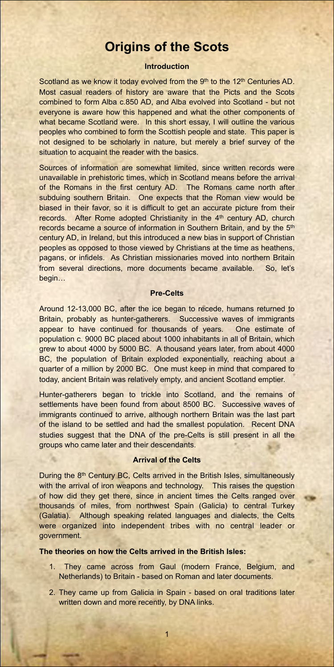# **Origins of the Scots**

# **Introduction**

Scotland as we know it today evolved from the 9<sup>th</sup> to the 12<sup>th</sup> Centuries AD. Most casual readers of history are aware that the Picts and the Scots combined to form Alba c.850 AD, and Alba evolved into Scotland - but not everyone is aware how this happened and what the other components of what became Scotland were. In this short essay, I will outline the various peoples who combined to form the Scottish people and state. This paper is not designed to be scholarly in nature, but merely a brief survey of the situation to acquaint the reader with the basics.

Sources of information are somewhat limited, since written records were unavailable in prehistoric times, which in Scotland means before the arrival of the Romans in the first century AD. The Romans came north after subduing southern Britain. One expects that the Roman view would be biased in their favor, so it is difficult to get an accurate picture from their records. After Rome adopted Christianity in the 4<sup>th</sup> century AD, church records became a source of information in Southern Britain, and by the 5th century AD, in Ireland, but this introduced a new bias in support of Christian peoples as opposed to those viewed by Christians at the time as heathens, pagans, or infidels. As Christian missionaries moved into northern Britain from several directions, more documents became available. So, let's begin…

## **Pre-Celts**

Around 12-13,000 BC, after the ice began to recede, humans returned to Britain, probably as hunter-gatherers. Successive waves of immigrants appear to have continued for thousands of years. One estimate of population c. 9000 BC placed about 1000 inhabitants in all of Britain, which grew to about 4000 by 5000 BC. A thousand years later, from about 4000 BC, the population of Britain exploded exponentially, reaching about a quarter of a million by 2000 BC. One must keep in mind that compared to today, ancient Britain was relatively empty, and ancient Scotland emptier.

Hunter-gatherers began to trickle into Scotland, and the remains of settlements have been found from about 8500 BC. Successive waves of immigrants continued to arrive, although northern Britain was the last part of the island to be settled and had the smallest population. Recent DNA studies suggest that the DNA of the pre-Celts is still present in all the groups who came later and their descendants.

# **Arrival of the Celts**

During the 8<sup>th</sup> Century BC, Celts arrived in the British Isles, simultaneously with the arrival of iron weapons and technology. This raises the question

of how did they get there, since in ancient times the Celts ranged over thousands of miles, from northwest Spain (Galicia) to central Turkey (Galatia). Although speaking related languages and dialects, the Celts were organized into independent tribes with no central leader or government.

# **The theories on how the Celts arrived in the British Isles:**

- 1. They came across from Gaul (modern France, Belgium, and Netherlands) to Britain - based on Roman and later documents.
- 2. They came up from Galicia in Spain based on oral traditions later written down and more recently, by DNA links.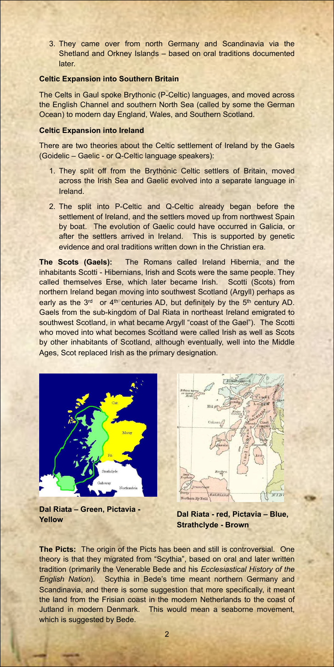3. They came over from north Germany and Scandinavia via the Shetland and Orkney Islands – based on oral traditions documented later.

# **Celtic Expansion into Southern Britain**

The Celts in Gaul spoke Brythonic (P-Celtic) languages, and moved across the English Channel and southern North Sea (called by some the German Ocean) to modern day England, Wales, and Southern Scotland.

# **Celtic Expansion into Ireland**

There are two theories about the Celtic settlement of Ireland by the Gaels (Goidelic – Gaelic - or Q-Celtic language speakers):

- 1. They split off from the Brythonic Celtic settlers of Britain, moved across the Irish Sea and Gaelic evolved into a separate language in Ireland.
- 2. The split into P-Celtic and Q-Celtic already began before the settlement of Ireland, and the settlers moved up from northwest Spain by boat. The evolution of Gaelic could have occurred in Galicia, or after the settlers arrived in Ireland. This is supported by genetic evidence and oral traditions written down in the Christian era.

**The Scots (Gaels):** The Romans called Ireland Hibernia, and the inhabitants Scotti - Hibernians, Irish and Scots were the same people. They called themselves Erse, which later became Irish. Scotti (Scots) from northern Ireland began moving into southwest Scotland (Argyll) perhaps as early as the  $3<sup>rd</sup>$  or  $4<sup>th</sup>$  centuries AD, but definitely by the  $5<sup>th</sup>$  century AD. Gaels from the sub-kingdom of Dal Riata in northeast Ireland emigrated to southwest Scotland, in what became Argyll "coast of the Gael"). The Scotti who moved into what becomes Scotland were called Irish as well as Scots by other inhabitants of Scotland, although eventually, well into the Middle Ages, Scot replaced Irish as the primary designation.





# **Dal Riata – Green, Pictavia -**

**Yellow Dal Riata - red, Pictavia – Blue, Strathclyde - Brown**

DALRIADA

Northern Hy Neill

NIDI

**The Picts:** The origin of the Picts has been and still is controversial. One theory is that they migrated from "Scythia", based on oral and later written tradition (primarily the Venerable Bede and his *Ecclesiastical History of the English Nation*). Scythia in Bede's time meant northern Germany and Scandinavia, and there is some suggestion that more specifically, it meant the land from the Frisian coast in the modern Netherlands to the coast of Jutland in modern Denmark. This would mean a seaborne movement, which is suggested by Bede.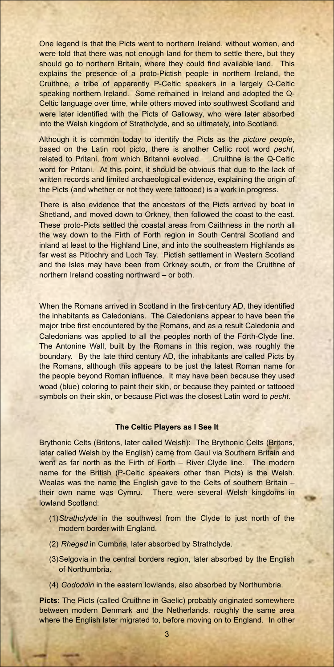One legend is that the Picts went to northern Ireland, without women, and were told that there was not enough land for them to settle there, but they should go to northern Britain, where they could find available land. This explains the presence of a proto-Pictish people in northern Ireland, the Cruithne, a tribe of apparently P-Celtic speakers in a largely Q-Celtic speaking northern Ireland. Some remained in Ireland and adopted the Q-Celtic language over time, while others moved into southwest Scotland and were later identified with the Picts of Galloway, who were later absorbed into the Welsh kingdom of Strathclyde, and so ultimately, into Scotland.

Although it is common today to identify the Picts as the *picture people*, based on the Latin root picto, there is another Celtic root word *pecht*, related to Pritani, from which Britanni evolved. Cruithne is the Q-Celtic word for Pritani. At this point, it should be obvious that due to the lack of written records and limited archaeological evidence, explaining the origin of the Picts (and whether or not they were tattooed) is a work in progress.

There is also evidence that the ancestors of the Picts arrived by boat in Shetland, and moved down to Orkney, then followed the coast to the east. These proto-Picts settled the coastal areas from Caithness in the north all the way down to the Firth of Forth region in South Central Scotland and inland at least to the Highland Line, and into the southeastern Highlands as far west as Pitlochry and Loch Tay. Pictish settlement in Western Scotland and the Isles may have been from Orkney south, or from the Cruithne of northern Ireland coasting northward – or both.

**Picts:** The Picts (called Cruithne in Gaelic) probably originated somewhere between modern Denmark and the Netherlands, roughly the same area where the English later migrated to, before moving on to England. In other

When the Romans arrived in Scotland in the first century AD, they identified the inhabitants as Caledonians. The Caledonians appear to have been the major tribe first encountered by the Romans, and as a result Caledonia and Caledonians was applied to all the peoples north of the Forth-Clyde line. The Antonine Wall, built by the Romans in this region, was roughly the boundary. By the late third century AD, the inhabitants are called Picts by the Romans, although this appears to be just the latest Roman name for the people beyond Roman influence. It may have been because they used woad (blue) coloring to paint their skin, or because they painted or tattooed symbols on their skin, or because Pict was the closest Latin word to *pecht*.

## **The Celtic Players as I See It**

Brythonic Celts (Britons, later called Welsh): The Brythonic Celts (Britons, later called Welsh by the English) came from Gaul via Southern Britain and went as far north as the Firth of Forth – River Clyde line. The modern name for the British (P-Celtic speakers other than Picts) is the Welsh. Wealas was the name the English gave to the Celts of southern Britain – their own name was Cymru. There were several Welsh kingdoms in lowland Scotland:

(1)*Strathclyde* in the southwest from the Clyde to just north of the modern border with England.

(2) *Rheged* in Cumbria, later absorbed by Strathclyde.

(3)Selgovia in the central borders region, later absorbed by the English of Northumbria.

(4) *Gododdin* in the eastern lowlands, also absorbed by Northumbria.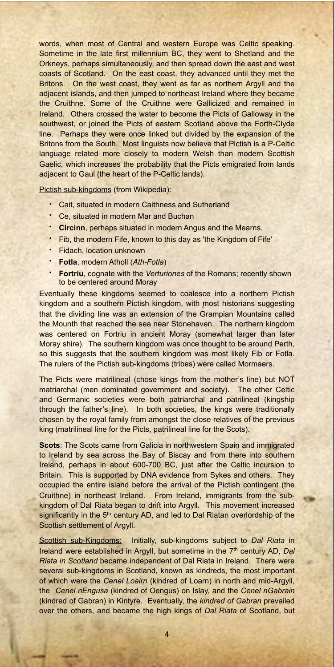words, when most of Central and western Europe was Celtic speaking. Sometime in the late first millennium BC, they went to Shetland and the Orkneys, perhaps simultaneously, and then spread down the east and west coasts of Scotland. On the east coast, they advanced until they met the Britons. On the west coast, they went as far as northern Argyll and the adjacent islands, and then jumped to northeast Ireland where they became the Cruithne. Some of the Cruithne were Gallicized and remained in Ireland. Others crossed the water to become the Picts of Galloway in the southwest, or joined the Picts of eastern Scotland above the Forth-Clyde line. Perhaps they were once linked but divided by the expansion of the Britons from the South. Most linguists now believe that Pictish is a P-Celtic language related more closely to modern Welsh than modern Scottish Gaelic, which increases the probability that the Picts emigrated from lands adjacent to Gaul (the heart of the P-Celtic lands).

Pictish sub-kingdoms (from Wikipedia):

- [Cait,](http://en.wikipedia.org/wiki/Kingdom_of_Cat) situated in modern [Caithness](http://en.wikipedia.org/wiki/Caithness) and [Sutherland](http://en.wikipedia.org/wiki/Sutherland)
- Ce, situated in modern [Mar](http://en.wikipedia.org/wiki/Marr) and [Buchan](http://en.wikipedia.org/wiki/Buchan)
- **Circinn**, perhaps situated in modern [Angus](http://en.wikipedia.org/wiki/Angus) and [the Mearns.](http://en.wikipedia.org/wiki/The_Mearns)
- Fib, the modern [Fife](http://en.wikipedia.org/wiki/Fife), known to this day as 'the Kingdom of Fife'
- Fidach, location unknown
- **Fotla**, modern [Atholl](http://en.wikipedia.org/wiki/Atholl) (*Ath-Fotla*)
- **[Fortriu](http://en.wikipedia.org/wiki/Fortriu)**, cognate with the *Verturiones* of the Romans; recently shown to be centered around [Moray](http://en.wikipedia.org/wiki/Moray)

Eventually these kingdoms seemed to coalesce into a northern Pictish kingdom and a southern Pictish kingdom, with most historians suggesting that the dividing line was an extension of the Grampian Mountains called the Mounth that reached the sea near Stonehaven. The northern kingdom was centered on Fortriu in ancient Moray (somewhat larger than later Moray shire). The southern kingdom was once thought to be around Perth, so this suggests that the southern kingdom was most likely Fib or Fotla. The rulers of the Pictish sub-kingdoms (tribes) were called Mormaers.

The Picts were matrilineal (chose kings from the mother's line) but NOT matriarchal (men dominated government and society). The other Celtic and Germanic societies were both patriarchal and patrilineal (kingship through the father's line). In both societies, the kings were traditionally chosen by the royal family from amongst the close relatives of the previous king (matrilineal line for the Picts, patrilineal line for the Scots).

**Scots**: The Scots came from Galicia in northwestern Spain and immigrated to Ireland by sea across the Bay of Biscay and from there into southern Ireland, perhaps in about 600-700 BC, just after the Celtic incursion to Britain. This is supported by DNA evidence from Sykes and others. They occupied the entire island before the arrival of the Pictish contingent (the

Cruithne) in northeast Ireland. From Ireland, immigrants from the subkingdom of Dal Riata began to drift into Argyll. This movement increased significantly in the 5<sup>th</sup> century AD, and led to Dal Riatan overlordship of the Scottish settlement of Argyll.

Scottish sub-Kingdoms: Initially, sub-kingdoms subject to *Dal Riata* in Ireland were established in Argyll, but sometime in the 7th century AD, *Dal Riata in Scotland* became independent of Dal Riata in Ireland. There were several sub-kingdoms in Scotland, known as kindreds, the most important of which were the *Cenel Loairn* (kindred of Loarn) in north and mid-Argyll, the *Cenel nEngusa* (kindred of Oengus) on Islay, and the *Cenel nGabrain* (kindred of Gabran) in Kintyre. Eventually, the *kindred of Gabran* prevailed over the others, and became the high kings of *Dal Riata* of Scotland, but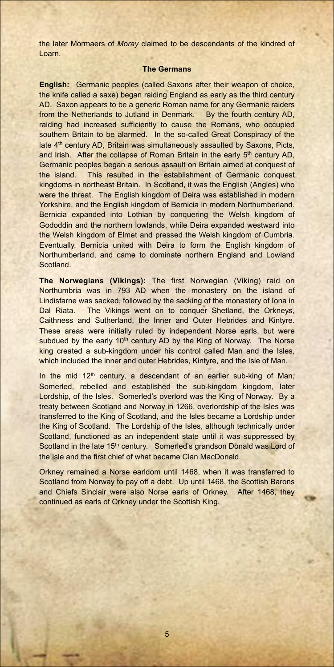the later Mormaers of *Moray* claimed to be descendants of the kindred of Loarn.

# **The Germans**

**English:** Germanic peoples (called Saxons after their weapon of choice, the knife called a saxe) began raiding England as early as the third century AD. Saxon appears to be a generic Roman name for any Germanic raiders from the Netherlands to Jutland in Denmark. By the fourth century AD, raiding had increased sufficiently to cause the Romans, who occupied southern Britain to be alarmed. In the so-called Great Conspiracy of the late 4th century AD, Britain was simultaneously assaulted by Saxons, Picts, and Irish. After the collapse of Roman Britain in the early 5<sup>th</sup> century AD, Germanic peoples began a serious assault on Britain aimed at conquest of the island. This resulted in the establishment of Germanic conquest kingdoms in northeast Britain. In Scotland, it was the English (Angles) who were the threat. The English kingdom of Deira was established in modern Yorkshire, and the English kingdom of Bernicia in modern Northumberland. Bernicia expanded into Lothian by conquering the Welsh kingdom of Gododdin and the northern lowlands, while Deira expanded westward into the Welsh kingdom of Elmet and pressed the Welsh kingdom of Cumbria. Eventually, Bernicia united with Deira to form the English kingdom of Northumberland, and came to dominate northern England and Lowland Scotland.

In the mid  $12<sup>th</sup>$  century, a descendant of an earlier sub-king of Man, Somerled, rebelled and established the sub-kingdom kingdom, later Lordship, of the Isles. Somerled's overlord was the King of Norway. By a treaty between Scotland and Norway in 1266, overlordship of the Isles was transferred to the King of Scotland, and the Isles became a Lordship under the King of Scotland. The Lordship of the Isles, although technically under Scotland, functioned as an independent state until it was suppressed by Scotland in the late 15<sup>th</sup> century. Somerled's grandson Donald was Lord of the Isle and the first chief of what became Clan MacDonald.

**The Norwegians (Vikings):** The first Norwegian (Viking) raid on Northumbria was in 793 AD when the monastery on the island of Lindisfarne was sacked, followed by the sacking of the monastery of Iona in Dal Riata. The Vikings went on to conquer Shetland, the Orkneys, Caithness and Sutherland, the Inner and Outer Hebrides and Kintyre. These areas were initially ruled by independent Norse earls, but were subdued by the early 10<sup>th</sup> century AD by the King of Norway. The Norse king created a sub-kingdom under his control called Man and the Isles, which included the inner and outer Hebrides, Kintyre, and the Isle of Man.

Orkney remained a Norse earldom until 1468, when it was transferred to Scotland from Norway to pay off a debt. Up until 1468, the Scottish Barons

and Chiefs Sinclair were also Norse earls of Orkney. After 1468, they continued as earls of Orkney under the Scottish King.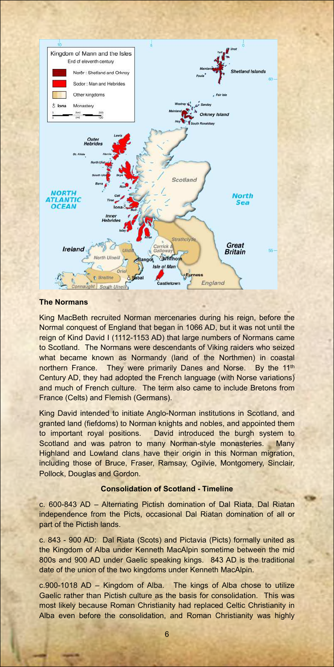

# **The Normans**

King MacBeth recruited Norman mercenaries during his reign, before the Normal conquest of England that began in 1066 AD, but it was not until the reign of Kind David I (1112-1153 AD) that large numbers of Normans came to Scotland. The Normans were descendants of Viking raiders who seized what became known as Normandy (land of the Northmen) in coastal northern France. They were primarily Danes and Norse. By the 11<sup>th</sup> Century AD, they had adopted the French language (with Norse variations) and much of French culture. The term also came to include Bretons from France (Celts) and Flemish (Germans).

King David intended to initiate Anglo-Norman institutions in Scotland, and granted land (fiefdoms) to Norman knights and nobles, and appointed them to important royal positions. David introduced the burgh system to Scotland and was patron to many Norman-style monasteries. Many Highland and Lowland clans have their origin in this Norman migration, including those of Bruce, Fraser, Ramsay, Ogilvie, Montgomery, Sinclair, Pollock, Douglas and Gordon.

#### **Consolidation of Scotland - Timeline**

c. 600-843 AD – Alternating Pictish domination of Dal Riata, Dal Riatan independence from the Picts, occasional Dal Riatan domination of all or part of the Pictish lands.

c. 843 - 900 AD: Dal Riata (Scots) and Pictavia (Picts) formally united as the Kingdom of Alba under Kenneth MacAlpin sometime between the mid 800s and 900 AD under Gaelic speaking kings. 843 AD is the traditional date of the union of the two kingdoms under Kenneth MacAlpin.

c.900-1018 AD – Kingdom of Alba. The kings of Alba chose to utilize Gaelic rather than Pictish culture as the basis for consolidation. This was most likely because Roman Christianity had replaced Celtic Christianity in Alba even before the consolidation, and Roman Christianity was highly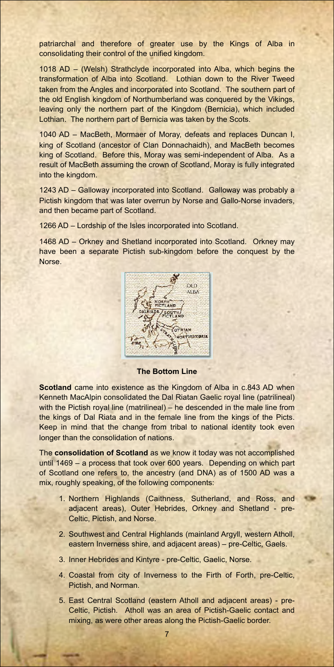patriarchal and therefore of greater use by the Kings of Alba in consolidating their control of the unified kingdom.

1018 AD – (Welsh) Strathclyde incorporated into Alba, which begins the transformation of Alba into Scotland. Lothian down to the River Tweed taken from the Angles and incorporated into Scotland. The southern part of the old English kingdom of Northumberland was conquered by the Vikings, leaving only the northern part of the Kingdom (Bernicia), which included Lothian. The northern part of Bernicia was taken by the Scots.

1040 AD – MacBeth, Mormaer of Moray, defeats and replaces Duncan I, king of Scotland (ancestor of Clan Donnachaidh), and MacBeth becomes king of Scotland. Before this, Moray was semi-independent of Alba. As a result of MacBeth assuming the crown of Scotland, Moray is fully integrated into the kingdom.

**Scotland** came into existence as the Kingdom of Alba in c.843 AD when Kenneth MacAlpin consolidated the Dal Riatan Gaelic royal line (patrilineal) with the Pictish royal line (matrilineal) – he descended in the male line from the kings of Dal Riata and in the female line from the kings of the Picts. Keep in mind that the change from tribal to national identity took even longer than the consolidation of nations.

1243 AD – Galloway incorporated into Scotland. Galloway was probably a Pictish kingdom that was later overrun by Norse and Gallo-Norse invaders, and then became part of Scotland.

1266 AD – Lordship of the Isles incorporated into Scotland.

1468 AD – Orkney and Shetland incorporated into Scotland. Orkney may have been a separate Pictish sub-kingdom before the conquest by the Norse.



**The Bottom Line**

The **consolidation of Scotland** as we know it today was not accomplished until 1469 – a process that took over 600 years. Depending on which part of Scotland one refers to, the ancestry (and DNA) as of 1500 AD was a mix, roughly speaking, of the following components:

- 1. Northern Highlands (Caithness, Sutherland, and Ross, and adjacent areas), Outer Hebrides, Orkney and Shetland - pre-Celtic, Pictish, and Norse.
- 2. Southwest and Central Highlands (mainland Argyll, western Atholl, eastern Inverness shire, and adjacent areas) – pre-Celtic, Gaels.
- 3. Inner Hebrides and Kintyre pre-Celtic, Gaelic, Norse.
- 4. Coastal from city of Inverness to the Firth of Forth, pre-Celtic, Pictish, and Norman.
- 5. East Central Scotland (eastern Atholl and adjacent areas) pre-Celtic, Pictish. Atholl was an area of Pictish-Gaelic contact and mixing, as were other areas along the Pictish-Gaelic border.